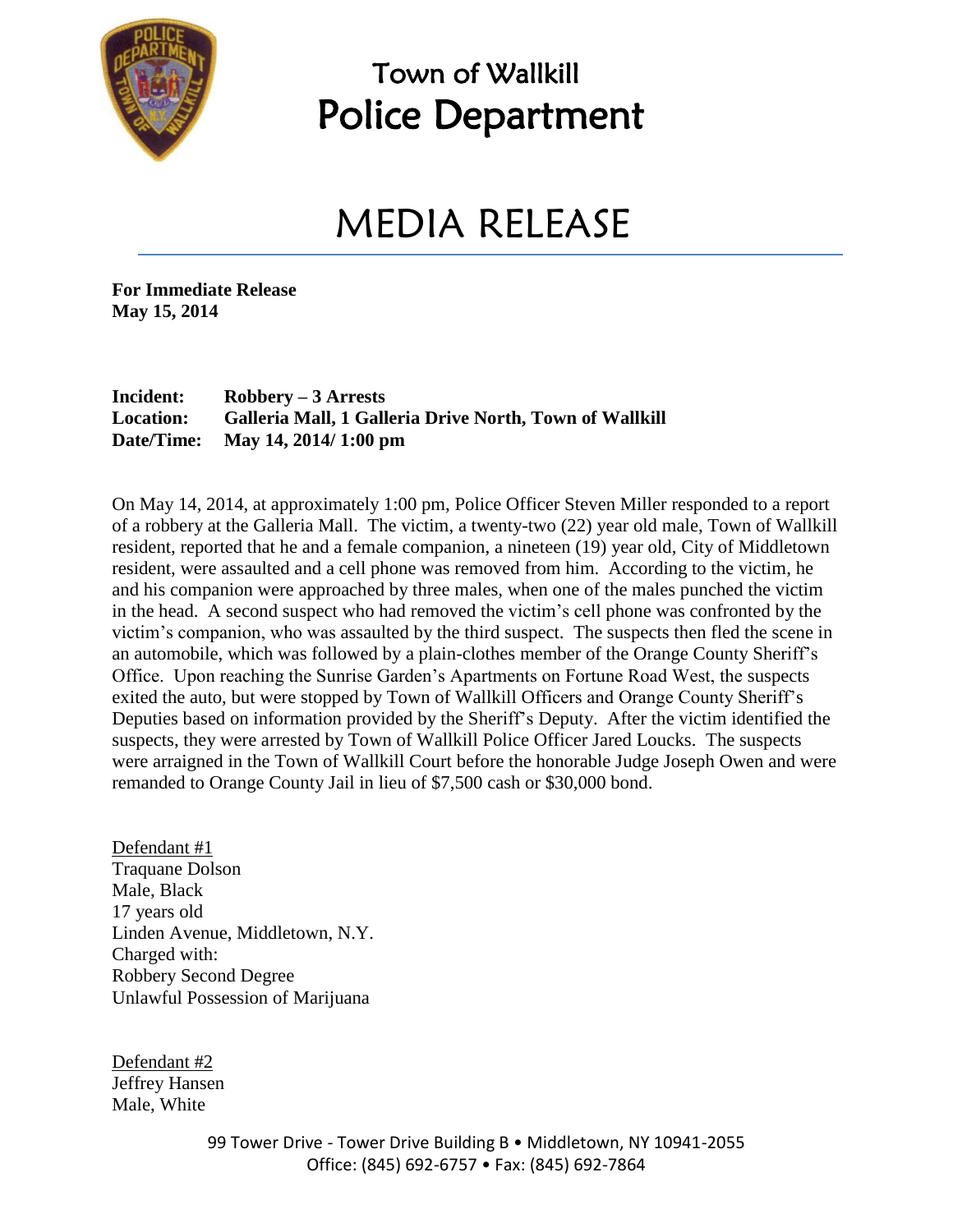

### Town of Wallkill Police Department

# MEDIA RELEASE

**For Immediate Release May 15, 2014**

#### **Incident: Robbery – 3 Arrests Location: Galleria Mall, 1 Galleria Drive North, Town of Wallkill Date/Time: May 14, 2014/ 1:00 pm**

On May 14, 2014, at approximately 1:00 pm, Police Officer Steven Miller responded to a report of a robbery at the Galleria Mall. The victim, a twenty-two (22) year old male, Town of Wallkill resident, reported that he and a female companion, a nineteen (19) year old, City of Middletown resident, were assaulted and a cell phone was removed from him. According to the victim, he and his companion were approached by three males, when one of the males punched the victim in the head. A second suspect who had removed the victim's cell phone was confronted by the victim's companion, who was assaulted by the third suspect. The suspects then fled the scene in an automobile, which was followed by a plain-clothes member of the Orange County Sheriff's Office. Upon reaching the Sunrise Garden's Apartments on Fortune Road West, the suspects exited the auto, but were stopped by Town of Wallkill Officers and Orange County Sheriff's Deputies based on information provided by the Sheriff's Deputy. After the victim identified the suspects, they were arrested by Town of Wallkill Police Officer Jared Loucks. The suspects were arraigned in the Town of Wallkill Court before the honorable Judge Joseph Owen and were remanded to Orange County Jail in lieu of \$7,500 cash or \$30,000 bond.

Defendant #1 Traquane Dolson Male, Black 17 years old Linden Avenue, Middletown, N.Y. Charged with: Robbery Second Degree Unlawful Possession of Marijuana

Defendant #2 Jeffrey Hansen Male, White